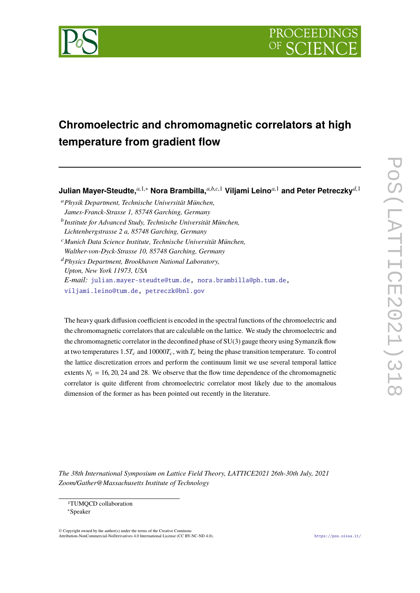

# **Chromoelectric and chromomagnetic correlators at high temperature from gradient flow**

**Julian Mayer-Steudte,***a*,1,<sup>∗</sup> **Nora Brambilla,***a*,*b*,*c*,<sup>1</sup> **Viljami Leino***a*,<sup>1</sup> **and Peter Petreczky***d*,<sup>1</sup>

<sup>a</sup>*Physik Department, Technische Universität München,*

- *James-Franck-Strasse 1, 85748 Garching, Germany* b *Institute for Advanced Study, Technische Universität München, Lichtenbergstrasse 2 a, 85748 Garching, Germany*
- <sup>c</sup>*Munich Data Science Institute, Technische Universität München, Walther-von-Dyck-Strasse 10, 85748 Garching, Germany*

<sup>d</sup>*Physics Department, Brookhaven National Laboratory, Upton, New York 11973, USA E-mail:* [julian.mayer-steudte@tum.de,](mailto:julian.mayer-steudte@tum.de) [nora.brambilla@ph.tum.de,](mailto:nora.brambilla@ph.tum.de) [viljami.leino@tum.de,](mailto:viljami.leino@tum.de) [petreczk@bnl.gov](mailto:petreczk@bnl.gov)

The heavy quark diffusion coefficient is encoded in the spectral functions of the chromoelectric and the chromomagnetic correlators that are calculable on the lattice. We study the chromoelectric and the chromomagnetic correlator in the deconfined phase of SU(3) gauge theory using Symanzik flow at two temperatures  $1.5T_c$  and  $10000T_c$ , with  $T_c$  being the phase transition temperature. To control the lattice discretization errors and perform the continuum limit we use several temporal lattice extents  $N_t = 16, 20, 24$  and 28. We observe that the flow time dependence of the chromomagnetic correlator is quite different from chromoelectric correlator most likely due to the anomalous dimension of the former as has been pointed out recently in the literature.

*The 38th International Symposium on Lattice Field Theory, LATTICE2021 26th-30th July, 2021 Zoom/Gather@Massachusetts Institute of Technology*

© Copyright owned by the author(s) under the terms of the Creative Commons Attribution-NonCommercial-NoDerivatives 4.0 International License (CC BY-NC-ND 4.0). <https://pos.sissa.it/>

<sup>1</sup>TUMQCD collaboration

<sup>∗</sup>Speaker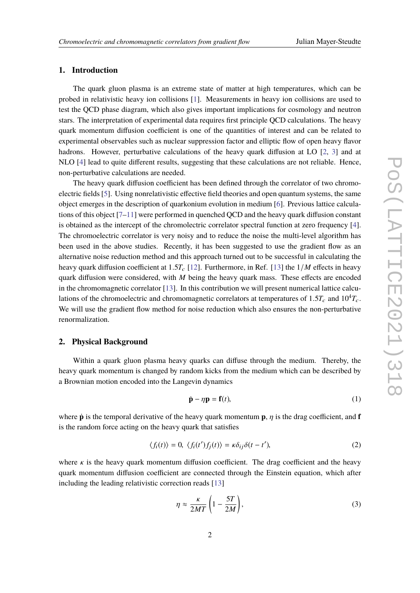## **1. Introduction**

The quark gluon plasma is an extreme state of matter at high temperatures, which can be probed in relativistic heavy ion collisions [\[1\]](#page-7-0). Measurements in heavy ion collisions are used to test the QCD phase diagram, which also gives important implications for cosmology and neutron stars. The interpretation of experimental data requires first principle QCD calculations. The heavy quark momentum diffusion coefficient is one of the quantities of interest and can be related to experimental observables such as nuclear suppression factor and elliptic flow of open heavy flavor hadrons. However, perturbative calculations of the heavy quark diffusion at LO [\[2,](#page-7-1) [3\]](#page-7-2) and at NLO [\[4\]](#page-7-3) lead to quite different results, suggesting that these calculations are not reliable. Hence, non-perturbative calculations are needed.

The heavy quark diffusion coefficient has been defined through the correlator of two chromoelectric fields [\[5\]](#page-7-4). Using nonrelativistic effective field theories and open quantum systems, the same object emerges in the description of quarkonium evolution in medium [\[6\]](#page-7-5). Previous lattice calculations of this object [\[7](#page-7-6)[–11\]](#page-7-7) were performed in quenched QCD and the heavy quark diffusion constant is obtained as the intercept of the chromolectric correlator spectral function at zero frequency [\[4\]](#page-7-3). The chromoelectric correlator is very noisy and to reduce the noise the multi-level algorithm has been used in the above studies. Recently, it has been suggested to use the gradient flow as an alternative noise reduction method and this approach turned out to be successful in calculating the heavy quark diffusion coefficient at 1.5*T<sub>c</sub>* [\[12\]](#page-7-8). Furthermore, in Ref. [\[13\]](#page-7-9) the 1/*M* effects in heavy quark diffusion were considered, with *M* being the heavy quark mass. These effects are encoded in the chromomagnetic correlator [\[13\]](#page-7-9). In this contribution we will present numerical lattice calculations of the chromoelectric and chromomagnetic correlators at temperatures of  $1.5T_c$  and  $10^4T_c$ . We will use the gradient flow method for noise reduction which also ensures the non-perturbative renormalization.

## **2. Physical Background**

Within a quark gluon plasma heavy quarks can diffuse through the medium. Thereby, the heavy quark momentum is changed by random kicks from the medium which can be described by a Brownian motion encoded into the Langevin dynamics

$$
\dot{\mathbf{p}} - \eta \mathbf{p} = \mathbf{f}(t),\tag{1}
$$

where **p** is the temporal derivative of the heavy quark momentum **p**,  $\eta$  is the drag coefficient, and **f** is the random force acting on the heavy quark that satisfies

$$
\langle f_i(t) \rangle = 0, \ \langle f_i(t') f_j(t) \rangle = \kappa \delta_{ij} \delta(t - t'), \tag{2}
$$

where  $\kappa$  is the heavy quark momentum diffusion coefficient. The drag coefficient and the heavy quark momentum diffusion coefficient are connected through the Einstein equation, which after including the leading relativistic correction reads [\[13\]](#page-7-9)

$$
\eta \approx \frac{\kappa}{2MT} \left( 1 - \frac{5T}{2M} \right),\tag{3}
$$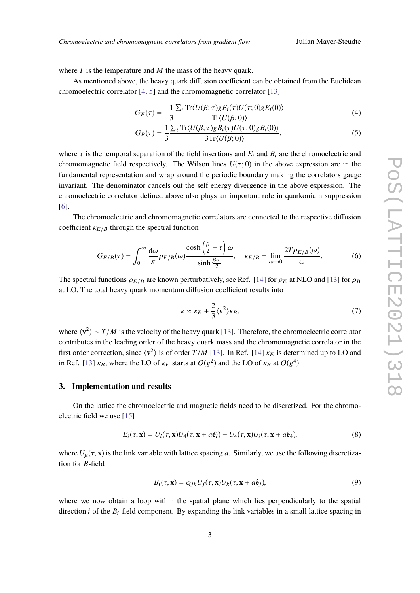where *T* is the temperature and *M* the mass of the heavy quark.

As mentioned above, the heavy quark diffusion coefficient can be obtained from the Euclidean chromoelectric correlator [\[4,](#page-7-3) [5\]](#page-7-4) and the chromomagnetic correlator [\[13\]](#page-7-9)

$$
G_E(\tau) = -\frac{1}{3} \frac{\sum_i \text{Tr} \langle U(\beta; \tau) g E_i(\tau) U(\tau; 0) g E_i(0) \rangle}{\text{Tr} \langle U(\beta; 0) \rangle}
$$
(4)

$$
G_B(\tau) = \frac{1}{3} \frac{\sum_i \text{Tr}\langle U(\beta; \tau) g B_i(\tau) U(\tau; 0) g B_i(0) \rangle}{3 \text{Tr}\langle U(\beta; 0) \rangle},\tag{5}
$$

where  $\tau$  is the temporal separation of the field insertions and  $E_i$  and  $B_i$  are the chromoelectric and chromomagnetic field respectively. The Wilson lines  $U(\tau; 0)$  in the above expression are in the fundamental representation and wrap around the periodic boundary making the correlators gauge invariant. The denominator cancels out the self energy divergence in the above expression. The chromoelectric correlator defined above also plays an important role in quarkonium suppression [\[6\]](#page-7-5).

The chromoelectric and chromomagnetic correlators are connected to the respective diffusion coefficient  $\kappa_{E/B}$  through the spectral function

$$
G_{E/B}(\tau) = \int_0^\infty \frac{d\omega}{\pi} \rho_{E/B}(\omega) \frac{\cosh\left(\frac{\beta}{2} - \tau\right)\omega}{\sinh\frac{\beta\omega}{2}}, \quad \kappa_{E/B} = \lim_{\omega \to 0} \frac{2T\rho_{E/B}(\omega)}{\omega}.
$$
 (6)

The spectral functions  $\rho_{E/B}$  are known perturbatively, see Ref. [\[14\]](#page-7-10) for  $\rho_E$  at NLO and [\[13\]](#page-7-9) for  $\rho_B$ at LO. The total heavy quark momentum diffusion coefficient results into

$$
\kappa \approx \kappa_E + \frac{2}{3} \langle \mathbf{v}^2 \rangle \kappa_B, \tag{7}
$$

where  $\langle v^2 \rangle \sim T/M$  is the velocity of the heavy quark [\[13\]](#page-7-9). Therefore, the chromoelectric correlator contributes in the leading order of the heavy quark mass and the chromomagnetic correlator in the first order correction, since  $\langle v^2 \rangle$  is of order  $T/M$  [\[13\]](#page-7-9). In Ref. [\[14\]](#page-7-10)  $\kappa_E$  is determined up to LO and in Ref. [\[13\]](#page-7-9)  $\kappa_B$ , where the LO of  $\kappa_E$  starts at  $O(g^2)$  and the LO of  $\kappa_B$  at  $O(g^4)$ .

#### **3. Implementation and results**

On the lattice the chromoelectric and magnetic fields need to be discretized. For the chromoelectric field we use [\[15\]](#page-8-0)

$$
E_i(\tau, \mathbf{x}) = U_i(\tau, \mathbf{x})U_4(\tau, \mathbf{x} + a\hat{\mathbf{e}}_i) - U_4(\tau, \mathbf{x})U_i(\tau, \mathbf{x} + a\hat{\mathbf{e}}_4),
$$
\n(8)

where  $U_{\mu}(\tau, \mathbf{x})$  is the link variable with lattice spacing *a*. Similarly, we use the following discretization for *B*-field

<span id="page-2-0"></span>
$$
B_i(\tau, \mathbf{x}) = \epsilon_{ijk} U_j(\tau, \mathbf{x}) U_k(\tau, \mathbf{x} + a\hat{\mathbf{e}}_j),
$$
\n(9)

where we now obtain a loop within the spatial plane which lies perpendicularly to the spatial direction *i* of the  $B_i$ -field component. By expanding the link variables in a small lattice spacing in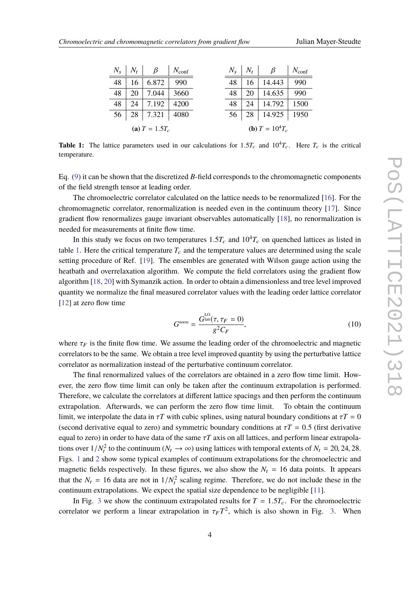<span id="page-3-0"></span>

| $N_{\rm s}$      | $N_t$ | $\beta$ | $N_{\text{conf}}$ |  | $N_{\rm s}$                 | $N_t$ | β             | $N_{\text{conf}}$ |
|------------------|-------|---------|-------------------|--|-----------------------------|-------|---------------|-------------------|
| 48               | 16    | 6.872   | 990               |  | 48                          | 16    | 14.443        | 990               |
| 48               | 20    | 7.044   | 3660              |  | 48                          | 20    | 14.635        | 990               |
| 48               | 24    | 7.192   | 4200              |  | 48                          | 24    | 14.792        | 1500              |
| 56               | 28    | 7.321   | 4080              |  | 56                          | 28    | 14.925   1950 |                   |
| (a) $T = 1.5T_c$ |       |         |                   |  | ( <b>b</b> ) $T = 10^4 T_c$ |       |               |                   |

**Table 1:** The lattice parameters used in our calculations for  $1.5T_c$  and  $10^4T_c$ . Here  $T_c$  is the critical temperature.

Eq. [\(9\)](#page-2-0) it can be shown that the discretized *B*-field corresponds to the chromomagnetic components of the field strength tensor at leading order.

The chromoelectric correlator calculated on the lattice needs to be renormalized [\[16\]](#page-8-1). For the chromomagnetic correlator, renormalization is needed even in the continuum theory [\[17\]](#page-8-2). Since gradient flow renormalizes gauge invariant observables automatically [\[18\]](#page-8-3), no renormalization is needed for measurements at finite flow time.

In this study we focus on two temperatures  $1.5T_c$  and  $10^4T_c$  on quenched lattices as listed in table [1.](#page-3-0) Here the critical temperature  $T_c$  and the temperature values are determined using the scale setting procedure of Ref. [\[19\]](#page-8-4). The ensembles are generated with Wilson gauge action using the heatbath and overrelaxation algorithm. We compute the field correlators using the gradient flow algorithm [\[18,](#page-8-3) [20\]](#page-8-5) with Symanzik action. In order to obtain a dimensionless and tree level improved quantity we normalize the final measured correlator values with the leading order lattice correlator [\[12\]](#page-7-8) at zero flow time

$$
G^{\text{norm}} = \frac{G^{\text{Lo}}_{\text{lat}}(\tau, \tau_F = 0)}{g^2 C_F},\tag{10}
$$

where  $\tau_F$  is the finite flow time. We assume the leading order of the chromoelectric and magnetic correlators to be the same. We obtain a tree level improved quantity by using the perturbative lattice correlator as normalization instead of the perturbative continuum correlator.

The final renormalized values of the correlators are obtained in a zero flow time limit. However, the zero flow time limit can only be taken after the continuum extrapolation is performed. Therefore, we calculate the correlators at different lattice spacings and then perform the continuum extrapolation. Afterwards, we can perform the zero flow time limit. To obtain the continuum limit, we interpolate the data in  $\tau T$  with cubic splines, using natural boundary conditions at  $\tau T = 0$ (second derivative equal to zero) and symmetric boundary conditions at  $\tau T = 0.5$  (first derivative equal to zero) in order to have data of the same  $\tau T$  axis on all lattices, and perform linear extrapolations over  $1/N_t^2$  to the continuum  $(N_t \to \infty)$  using lattices with temporal extents of  $N_t = 20, 24, 28$ . Figs. [1](#page-4-0) and [2](#page-4-1) show some typical examples of continuum extrapolations for the chromoelectric and magnetic fields respectively. In these figures, we also show the  $N_t = 16$  data points. It appears that the  $N_t = 16$  data are not in  $1/N_t^2$  scaling regime. Therefore, we do not include these in the continuum extrapolations. We expect the spatial size dependence to be negligible [\[11\]](#page-7-7).

In Fig. [3](#page-5-0) we show the continuum extrapolated results for  $T = 1.5T_c$ . For the chromoelectric correlator we perform a linear extrapolation in  $\tau_F T^2$ , which is also shown in Fig. [3.](#page-5-0) When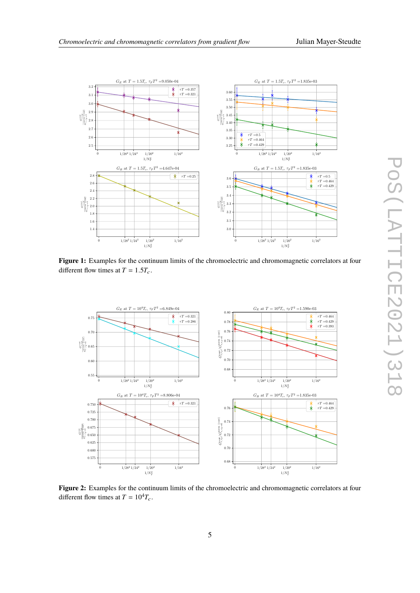<span id="page-4-0"></span>

Figure 1: Examples for the continuum limits of the chromoelectric and chromomagnetic correlators at four different flow times at  $T = 1.5T_c$ .

<span id="page-4-1"></span>

**Figure 2:** Examples for the continuum limits of the chromoelectric and chromomagnetic correlators at four different flow times at  $T = 10^4 T_c$ .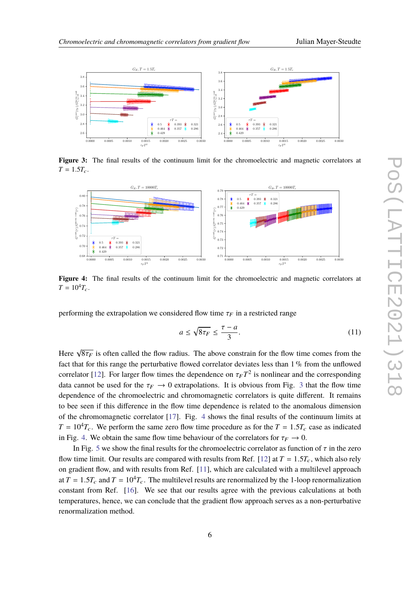<span id="page-5-0"></span>

**Figure 3:** The final results of the continuum limit for the chromoelectric and magnetic correlators at  $T = 1.5T_c$ .

<span id="page-5-1"></span>

Figure 4: The final results of the continuum limit for the chromoelectric and magnetic correlators at  $T = 10^4 T_c$ .

performing the extrapolation we considered flow time  $\tau_F$  in a restricted range

$$
a \le \sqrt{8\tau_F} \le \frac{\tau - a}{3}.\tag{11}
$$

Here <sup>√</sup>  $8\tau_F$  is often called the flow radius. The above constrain for the flow time comes from the  $\frac{1}{2}$  for this gauge the particularity found correlated deviates less than 1 % from the unflavord fact that for this range the perturbative flowed correlator deviates less than 1 % from the unflowed correlator [\[12\]](#page-7-8). For larger flow times the dependence on  $\tau_F T^2$  is nonlinear and the corresponding<br>data connect be used for the  $\tau_{\rm{m}}$  to 0 outrepalations. It is obvious from Fig. 2 that the flow time data cannot be used for the  $\tau_F \rightarrow 0$  extrapolations. It is obvious from Fig. [3](#page-5-0) that the flow time dependence of the chromoelectric and chromomagnetic correlators is quite different. It remains to bee seen if this difference in the flow time dependence is related to the anomalous dimension of the chromomagnetic correlator [\[17\]](#page-8-2). Fig. [4](#page-5-1) shows the final results of the continuum limits at  $T = 10<sup>4</sup>T_c$ . We perform the same zero flow time procedure as for the  $T = 1.5T_c$  case as indicated in Fig. [4.](#page-5-1) We obtain the same flow time behaviour of the correlators for  $\tau_F \rightarrow 0$ .

In Fig. [5](#page-6-0) we show the final results for the chromoelectric correlator as function of  $\tau$  in the zero flow time limit. Our results are compared with results from Ref. [\[12\]](#page-7-8) at  $T = 1.5T_c$ , which also rely on gradient flow, and with results from Ref. [\[11\]](#page-7-7), which are calculated with a multilevel approach at  $T = 1.5T_c$  and  $T = 10^4T_c$ . The multilevel results are renormalized by the 1-loop renormalization constant from Ref. [\[16\]](#page-8-1). We see that our results agree with the previous calculations at both temperatures, hence, we can conclude that the gradient flow approach serves as a non-perturbative renormalization method.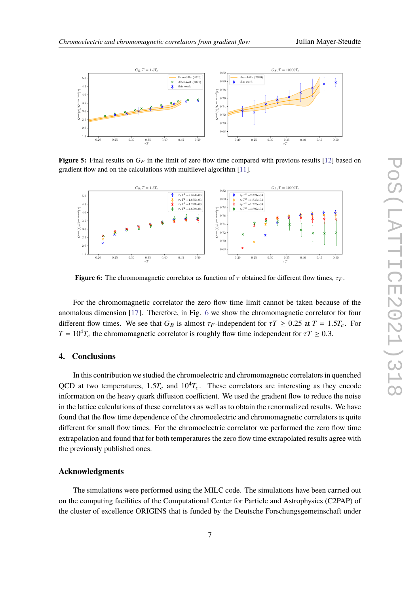<span id="page-6-0"></span>

**Figure 5:** Final results on  $G_E$  in the limit of zero flow time compared with previous results [\[12\]](#page-7-8) based on gradient flow and on the calculations with multilevel algorithm [\[11\]](#page-7-7).

<span id="page-6-1"></span>

**Figure 6:** The chromomagnetic correlator as function of  $\tau$  obtained for different flow times,  $\tau_F$ .

For the chromomagnetic correlator the zero flow time limit cannot be taken because of the anomalous dimension [\[17\]](#page-8-2). Therefore, in Fig. [6](#page-6-1) we show the chromomagnetic correlator for four different flow times. We see that  $G_B$  is almost  $\tau_F$ -independent for  $\tau T \ge 0.25$  at  $T = 1.5T_c$ . For  $T = 10<sup>4</sup>T_c$  the chromomagnetic correlator is roughly flow time independent for  $\tau T \ge 0.3$ .

#### **4. Conclusions**

In this contribution we studied the chromoelectric and chromomagnetic correlators in quenched QCD at two temperatures,  $1.5T_c$  and  $10^4T_c$ . These correlators are interesting as they encode information on the heavy quark diffusion coefficient. We used the gradient flow to reduce the noise in the lattice calculations of these correlators as well as to obtain the renormalized results. We have found that the flow time dependence of the chromoelectric and chromomagnetic correlators is quite different for small flow times. For the chromoelectric correlator we performed the zero flow time extrapolation and found that for both temperatures the zero flow time extrapolated results agree with the previously published ones.

#### **Acknowledgments**

The simulations were performed using the MILC code. The simulations have been carried out on the computing facilities of the Computational Center for Particle and Astrophysics (C2PAP) of the cluster of excellence ORIGINS that is funded by the Deutsche Forschungsgemeinschaft under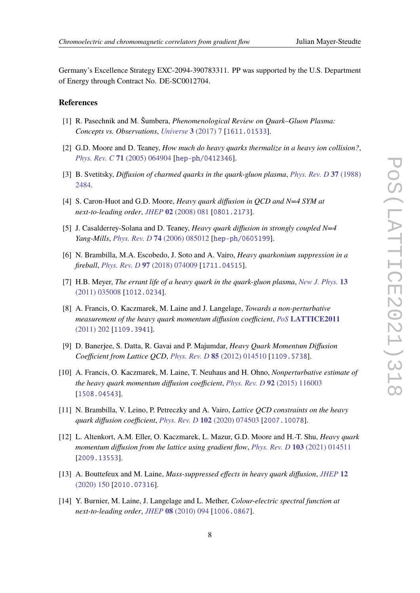Germany's Excellence Strategy EXC-2094-390783311. PP was supported by the U.S. Department of Energy through Contract No. DE-SC0012704.

### **References**

- <span id="page-7-0"></span>[1] R. Pasechnik and M. Šumbera, *Phenomenological Review on Quark–Gluon Plasma: Concepts vs. Observations*, *[Universe](https://doi.org/10.3390/universe3010007)* **3** (2017) 7 [[1611.01533](https://arxiv.org/abs/1611.01533)].
- <span id="page-7-1"></span>[2] G.D. Moore and D. Teaney, *How much do heavy quarks thermalize in a heavy ion collision?*, *Phys. Rev. C* **71** [\(2005\) 064904](https://doi.org/10.1103/PhysRevC.71.064904) [[hep-ph/0412346](https://arxiv.org/abs/hep-ph/0412346)].
- <span id="page-7-2"></span>[3] B. Svetitsky, *Diffusion of charmed quarks in the quark-gluon plasma*, *[Phys. Rev. D](https://doi.org/10.1103/PhysRevD.37.2484)* **37** (1988) [2484.](https://doi.org/10.1103/PhysRevD.37.2484)
- <span id="page-7-3"></span>[4] S. Caron-Huot and G.D. Moore, *Heavy quark diffusion in QCD and N=4 SYM at next-to-leading order*, *JHEP* **02** [\(2008\) 081](https://doi.org/10.1088/1126-6708/2008/02/081) [[0801.2173](https://arxiv.org/abs/0801.2173)].
- <span id="page-7-4"></span>[5] J. Casalderrey-Solana and D. Teaney, *Heavy quark diffusion in strongly coupled N=4 Yang-Mills*, *Phys. Rev. D* **74** [\(2006\) 085012](https://doi.org/10.1103/PhysRevD.74.085012) [[hep-ph/0605199](https://arxiv.org/abs/hep-ph/0605199)].
- <span id="page-7-5"></span>[6] N. Brambilla, M.A. Escobedo, J. Soto and A. Vairo, *Heavy quarkonium suppression in a fireball*, *Phys. Rev. D* **97** [\(2018\) 074009](https://doi.org/10.1103/PhysRevD.97.074009) [[1711.04515](https://arxiv.org/abs/1711.04515)].
- <span id="page-7-6"></span>[7] H.B. Meyer, *The errant life of a heavy quark in the quark-gluon plasma*, *[New J. Phys.](https://doi.org/10.1088/1367-2630/13/3/035008)* **13** [\(2011\) 035008](https://doi.org/10.1088/1367-2630/13/3/035008) [[1012.0234](https://arxiv.org/abs/1012.0234)].
- [8] A. Francis, O. Kaczmarek, M. Laine and J. Langelage, *Towards a non-perturbative measurement of the heavy quark momentum diffusion coefficient*, *PoS* **[LATTICE2011](https://doi.org/10.22323/1.139.0202)** [\(2011\) 202](https://doi.org/10.22323/1.139.0202) [[1109.3941](https://arxiv.org/abs/1109.3941)].
- [9] D. Banerjee, S. Datta, R. Gavai and P. Majumdar, *Heavy Quark Momentum Diffusion Coefficient from Lattice QCD*, *Phys. Rev. D* **85** [\(2012\) 014510](https://doi.org/10.1103/PhysRevD.85.014510) [[1109.5738](https://arxiv.org/abs/1109.5738)].
- [10] A. Francis, O. Kaczmarek, M. Laine, T. Neuhaus and H. Ohno, *Nonperturbative estimate of the heavy quark momentum diffusion coefficient*, *Phys. Rev. D* **92** [\(2015\) 116003](https://doi.org/10.1103/PhysRevD.92.116003) [[1508.04543](https://arxiv.org/abs/1508.04543)].
- <span id="page-7-7"></span>[11] N. Brambilla, V. Leino, P. Petreczky and A. Vairo, *Lattice QCD constraints on the heavy quark diffusion coefficient*, *Phys. Rev. D* **102** [\(2020\) 074503](https://doi.org/10.1103/PhysRevD.102.074503) [[2007.10078](https://arxiv.org/abs/2007.10078)].
- <span id="page-7-8"></span>[12] L. Altenkort, A.M. Eller, O. Kaczmarek, L. Mazur, G.D. Moore and H.-T. Shu, *Heavy quark momentum diffusion from the lattice using gradient flow*, *Phys. Rev. D* **103** [\(2021\) 014511](https://doi.org/10.1103/PhysRevD.103.014511) [[2009.13553](https://arxiv.org/abs/2009.13553)].
- <span id="page-7-9"></span>[13] A. Bouttefeux and M. Laine, *Mass-suppressed effects in heavy quark diffusion*, *[JHEP](https://doi.org/10.1007/JHEP12(2020)150)* **12** [\(2020\) 150](https://doi.org/10.1007/JHEP12(2020)150) [[2010.07316](https://arxiv.org/abs/2010.07316)].
- <span id="page-7-10"></span>[14] Y. Burnier, M. Laine, J. Langelage and L. Mether, *Colour-electric spectral function at next-to-leading order*, *JHEP* **08** [\(2010\) 094](https://doi.org/10.1007/JHEP08(2010)094) [[1006.0867](https://arxiv.org/abs/1006.0867)].